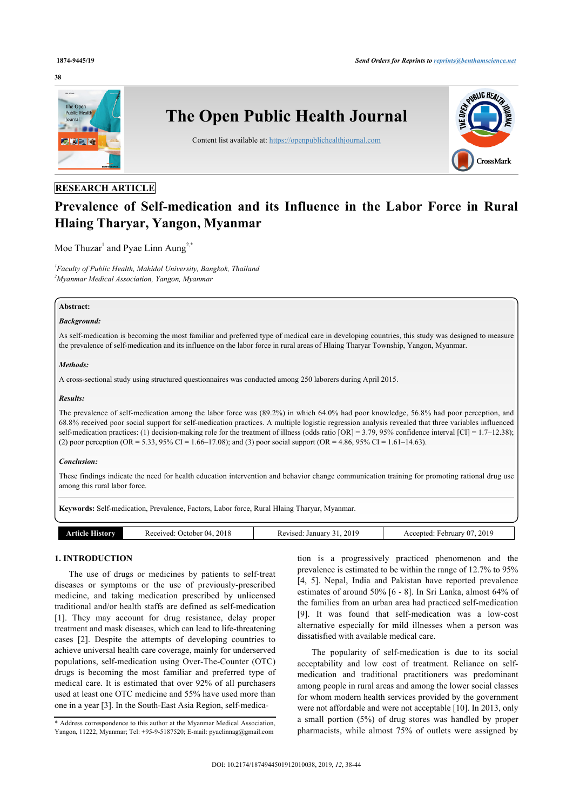#### **38**



# **RESEARCH ARTICLE**

# **Prevalence of Self-medication and its Influence in the Labor Force in Rural Hlaing Tharyar, Yangon, Myanmar**

Moe Thuzar<sup>[1](#page-0-0)</sup> and Pyae Linn Aung<sup>[2](#page-0-1),[\\*](#page-0-2)</sup>

<span id="page-0-1"></span><span id="page-0-0"></span>*1 Faculty of Public Health, Mahidol University, Bangkok, Thailand <sup>2</sup>Myanmar Medical Association, Yangon, Myanmar*

# **Abstract:**

# *Background:*

As self-medication is becoming the most familiar and preferred type of medical care in developing countries, this study was designed to measure the prevalence of self-medication and its influence on the labor force in rural areas of Hlaing Tharyar Township, Yangon, Myanmar.

### *Methods:*

A cross-sectional study using structured questionnaires was conducted among 250 laborers during April 2015.

#### *Results:*

The prevalence of self-medication among the labor force was (89.2%) in which 64.0% had poor knowledge, 56.8% had poor perception, and 68.8% received poor social support for self-medication practices. A multiple logistic regression analysis revealed that three variables influenced self-medication practices: (1) decision-making role for the treatment of illness (odds ratio [OR] = 3.79, 95% confidence interval [CI] = 1.7–12.38); (2) poor perception (OR = 5.33, 95% CI = 1.66–17.08); and (3) poor social support (OR = 4.86, 95% CI = 1.61–14.63).

#### *Conclusion:*

These findings indicate the need for health education intervention and behavior change communication training for promoting rational drug use among this rural labor force.

**Keywords:** Self-medication, Prevalence, Factors, Labor force, Rural Hlaing Tharyar, Myanmar.

| History<br>°NCIA | 2018<br>20001100<br>-04<br>October,<br>. | 201<br>. Januar :<br>1100d<br>kev<br>่ 1 เ<br>v.<br>. | 2019<br>$\sim$<br>⊦ebruarv<br>A ceept<br>v<br>--- |
|------------------|------------------------------------------|-------------------------------------------------------|---------------------------------------------------|

# **1. INTRODUCTION**

The use of drugs or medicines by patients to self-treat diseases or symptoms or the use of previously-prescribed medicine, and taking medication prescribed by unlicensed traditional and/or health staffs are defined as self-medication [[1](#page-5-0)]. They may account for drug resistance, delay proper treatment and mask diseases, which can lead to life-threatening cases[[2](#page-5-1)]. Despite the attempts of developing countries to achieve universal health care coverage, mainly for underserved populations, self-medication using Over-The-Counter (OTC) drugs is becoming the most familiar and preferred type of medical care. It is estimated that over 92% of all purchasers used at least one OTC medicine and 55% have used more than one in a year [\[3\]](#page-5-2). In the South-East Asia Region, self-medica-

tion is a progressively practiced phenomenon and the prevalence is estimated to be within the range of 12.7% to 95% [[4,](#page-5-3) [5\]](#page-5-4). Nepal, India and Pakistan have reported prevalence estimates of around 50% [[6](#page-5-5) - [8\]](#page-5-6). In Sri Lanka, almost 64% of the families from an urban area had practiced self-medication [[9\]](#page-6-0). It was found that self-medication was a low-cost alternative especially for mild illnesses when a person was dissatisfied with available medical care.

The popularity of self-medication is due to its social acceptability and low cost of treatment. Reliance on selfmedication and traditional practitioners was predominant among people in rural areas and among the lower social classes for whom modern health services provided by the government were not affordable and were not acceptable [[10\]](#page-6-1). In 2013, only a small portion (5%) of drug stores was handled by proper pharmacists, while almost 75% of outlets were assigned by

<span id="page-0-2"></span><sup>\*</sup> Address correspondence to this author at the Myanmar Medical Association, Yangon, 11222, Myanmar; Tel: +95-9-5187520; E-mail: [pyaelinnag@gmail.com](mailto:pyaelinnag@gmail.com)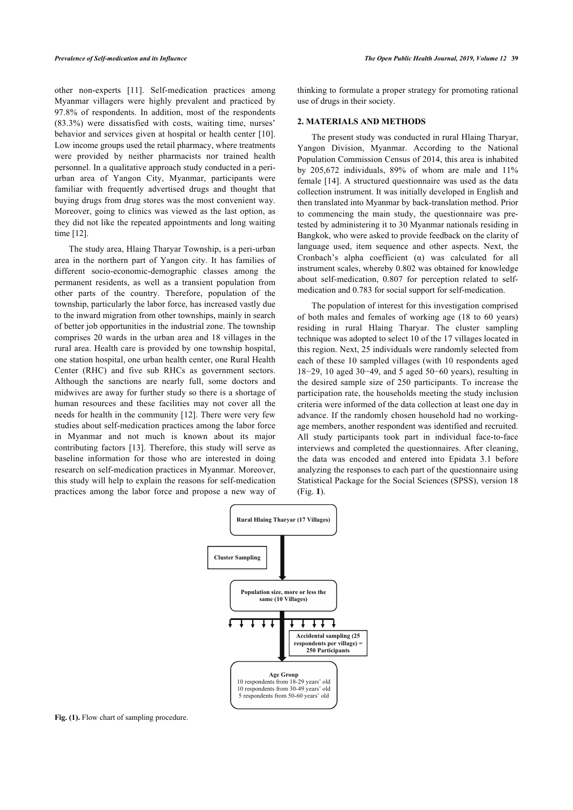other non-experts [\[11\]](#page-6-2). Self-medication practices among Myanmar villagers were highly prevalent and practiced by 97.8% of respondents. In addition, most of the respondents (83.3%) were dissatisfied with costs, waiting time, nurses' behavior and services given at hospital or health center [[10\]](#page-6-1). Low income groups used the retail pharmacy, where treatments were provided by neither pharmacists nor trained health personnel. In a qualitative approach study conducted in a periurban area of Yangon City, Myanmar, participants were familiar with frequently advertised drugs and thought that buying drugs from drug stores was the most convenient way. Moreover, going to clinics was viewed as the last option, as they did not like the repeated appointments and long waiting time [[12\]](#page-6-3).

The study area, Hlaing Tharyar Township, is a peri-urban area in the northern part of Yangon city. It has families of different socio-economic-demographic classes among the permanent residents, as well as a transient population from other parts of the country. Therefore, population of the township, particularly the labor force, has increased vastly due to the inward migration from other townships, mainly in search of better job opportunities in the industrial zone. The township comprises 20 wards in the urban area and 18 villages in the rural area. Health care is provided by one township hospital, one station hospital, one urban health center, one Rural Health Center (RHC) and five sub RHCs as government sectors. Although the sanctions are nearly full, some doctors and midwives are away for further study so there is a shortage of human resources and these facilities may not cover all the needs for health in the community [\[12](#page-6-3)]. There were very few studies about self-medication practices among the labor force in Myanmar and not much is known about its major contributing factors [\[13](#page-6-4)]. Therefore, this study will serve as baseline information for those who are interested in doing research on self-medication practices in Myanmar. Moreover, this study will help to explain the reasons for self-medication practices among the labor force and propose a new way of thinking to formulate a proper strategy for promoting rational use of drugs in their society.

# **2. MATERIALS AND METHODS**

The present study was conducted in rural Hlaing Tharyar, Yangon Division, Myanmar. According to the National Population Commission Census of 2014, this area is inhabited by 205,672 individuals, 89% of whom are male and 11% female [\[14](#page-6-5)]. A structured questionnaire was used as the data collection instrument. It was initially developed in English and then translated into Myanmar by back-translation method. Prior to commencing the main study, the questionnaire was pretested by administering it to 30 Myanmar nationals residing in Bangkok, who were asked to provide feedback on the clarity of language used, item sequence and other aspects. Next, the Cronbach's alpha coefficient (α) was calculated for all instrument scales, whereby 0.802 was obtained for knowledge about self-medication, 0.807 for perception related to selfmedication and 0.783 for social support for self-medication.

The population of interest for this investigation comprised of both males and females of working age (18 to 60 years) residing in rural Hlaing Tharyar. The cluster sampling technique was adopted to select 10 of the 17 villages located in this region. Next, 25 individuals were randomly selected from each of these 10 sampled villages (with 10 respondents aged 18−29, 10 aged 30−49, and 5 aged 50−60 years), resulting in the desired sample size of 250 participants. To increase the participation rate, the households meeting the study inclusion criteria were informed of the data collection at least one day in advance. If the randomly chosen household had no workingage members, another respondent was identified and recruited. All study participants took part in individual face-to-face interviews and completed the questionnaires. After cleaning, the data was encoded and entered into Epidata 3.1 before analyzing the responses to each part of the questionnaire using Statistical Package for the Social Sciences (SPSS), version 18 (Fig. **[1](#page-1-0)**).

<span id="page-1-0"></span>

Fig. (1). Flow chart of sampling procedure.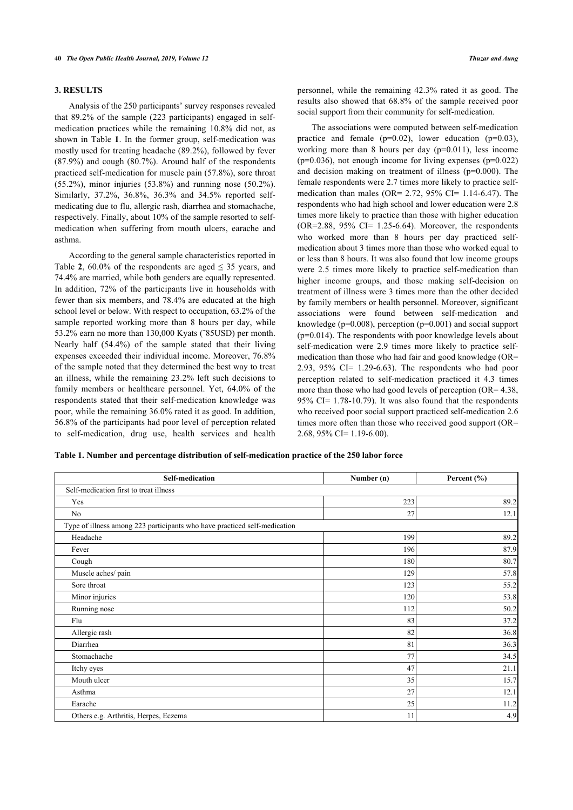# **3. RESULTS**

Analysis of the 250 participants' survey responses revealed that 89.2% of the sample (223 participants) engaged in selfmedication practices while the remaining 10.8% did not, as shown in Table **[1](#page--1-0)**. In the former group, self-medication was mostly used for treating headache (89.2%), followed by fever (87.9%) and cough (80.7%). Around half of the respondents practiced self-medication for muscle pain (57.8%), sore throat (55.2%), minor injuries (53.8%) and running nose (50.2%). Similarly, 37.2%, 36.8%, 36.3% and 34.5% reported selfmedicating due to flu, allergic rash, diarrhea and stomachache, respectively. Finally, about 10% of the sample resorted to selfmedication when suffering from mouth ulcers, earache and asthma.

According to the general sample characteristics reported in Table [2](#page--1-0),  $60.0\%$  of the respondents are aged  $\leq 35$  years, and 74.4% are married, while both genders are equally represented. In addition, 72% of the participants live in households with fewer than six members, and 78.4% are educated at the high school level or below. With respect to occupation, 63.2% of the sample reported working more than 8 hours per day, while 53.2% earn no more than 130,000 Kyats (˜85USD) per month. Nearly half (54.4%) of the sample stated that their living expenses exceeded their individual income. Moreover, 76.8% of the sample noted that they determined the best way to treat an illness, while the remaining 23.2% left such decisions to family members or healthcare personnel. Yet, 64.0% of the respondents stated that their self-medication knowledge was poor, while the remaining 36.0% rated it as good. In addition, 56.8% of the participants had poor level of perception related to self-medication, drug use, health services and health

personnel, while the remaining 42.3% rated it as good. The results also showed that 68.8% of the sample received poor social support from their community for self-medication.

The associations were computed between self-medication practice and female  $(p=0.02)$ , lower education  $(p=0.03)$ , working more than 8 hours per day (p=0.011), less income  $(p=0.036)$ , not enough income for living expenses  $(p=0.022)$ and decision making on treatment of illness (p=0.000). The female respondents were 2.7 times more likely to practice selfmedication than males (OR=  $2.72$ ,  $95\%$  CI= 1.14-6.47). The respondents who had high school and lower education were 2.8 times more likely to practice than those with higher education  $(OR=2.88, 95\% \text{ CI} = 1.25-6.64)$ . Moreover, the respondents who worked more than 8 hours per day practiced selfmedication about 3 times more than those who worked equal to or less than 8 hours. It was also found that low income groups were 2.5 times more likely to practice self-medication than higher income groups, and those making self-decision on treatment of illness were 3 times more than the other decided by family members or health personnel. Moreover, significant associations were found between self-medication and knowledge (p=0.008), perception (p=0.001) and social support (p=0.014). The respondents with poor knowledge levels about self-medication were 2.9 times more likely to practice selfmedication than those who had fair and good knowledge (OR= 2.93, 95% CI= 1.29-6.63). The respondents who had poor perception related to self-medication practiced it 4.3 times more than those who had good levels of perception (OR= 4.38, 95% CI= 1.78-10.79). It was also found that the respondents who received poor social support practiced self-medication 2.6 times more often than those who received good support (OR=  $2.68$ ,  $95\%$  CI= 1.19-6.00).

**Table 1. Number and percentage distribution of self-medication practice of the 250 labor force**

| <b>Self-medication</b>                                                    | Number (n) | Percent (%) |
|---------------------------------------------------------------------------|------------|-------------|
| Self-medication first to treat illness                                    |            |             |
| Yes                                                                       | 223        | 89.2        |
| No                                                                        | 27         | 12.1        |
| Type of illness among 223 participants who have practiced self-medication |            |             |
| Headache                                                                  | 199        | 89.2        |
| Fever                                                                     | 196        | 87.9        |
| Cough                                                                     | 180        | 80.7        |
| Muscle aches/ pain                                                        | 129        | 57.8        |
| Sore throat                                                               | 123        | 55.2        |
| Minor injuries                                                            | 120        | 53.8        |
| Running nose                                                              | 112        | 50.2        |
| Flu                                                                       | 83         | 37.2        |
| Allergic rash                                                             | 82         | 36.8        |
| Diarrhea                                                                  | 81         | 36.3        |
| Stomachache                                                               | 77         | 34.5        |
| Itchy eyes                                                                | 47         | 21.1        |
| Mouth ulcer                                                               | 35         | 15.7        |
| Asthma                                                                    | 27         | 12.1        |
| Earache                                                                   | 25         | 11.2        |
| Others e.g. Arthritis, Herpes, Eczema                                     | 11         | 4.9         |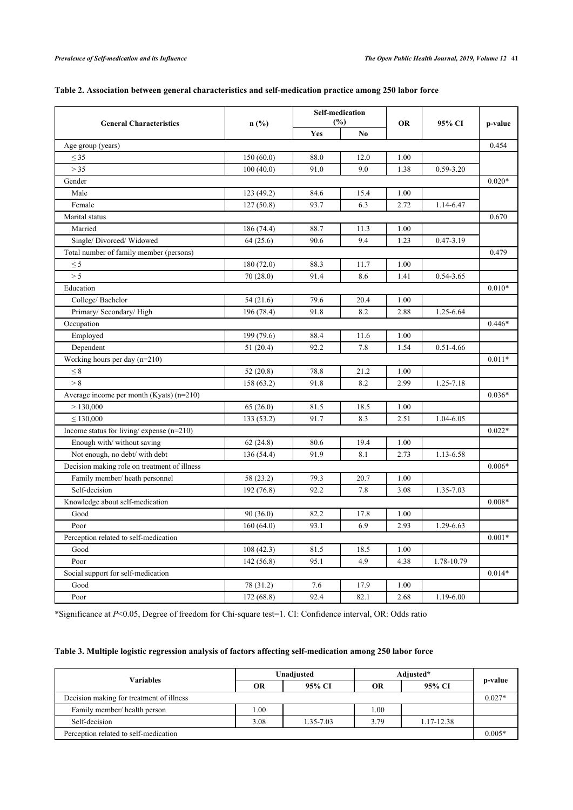| Table 2. Association between general characteristics and self-medication practice among 250 labor force |  |
|---------------------------------------------------------------------------------------------------------|--|
|                                                                                                         |  |

| <b>General Characteristics</b>               | n(%)       |      | <b>Self-medication</b><br>(%) |           | 95% CI        | p-value  |  |
|----------------------------------------------|------------|------|-------------------------------|-----------|---------------|----------|--|
|                                              |            | Yes  | No                            | <b>OR</b> |               |          |  |
| Age group (years)                            |            |      |                               |           |               | 0.454    |  |
| $\leq 35$                                    | 150(60.0)  | 88.0 | 12.0                          | 1.00      |               |          |  |
| > 35                                         | 100(40.0)  | 91.0 | 9.0                           | 1.38      | 0.59-3.20     |          |  |
| Gender                                       |            |      |                               |           |               | $0.020*$ |  |
| Male                                         | 123 (49.2) | 84.6 | 15.4                          | 1.00      |               |          |  |
| Female                                       | 127(50.8)  | 93.7 | 6.3                           | 2.72      | 1.14-6.47     |          |  |
| Marital status                               |            |      |                               |           |               | 0.670    |  |
| Married                                      | 186 (74.4) | 88.7 | 11.3                          | 1.00      |               |          |  |
| Single/Divorced/Widowed                      | 64(25.6)   | 90.6 | 9.4                           | 1.23      | $0.47 - 3.19$ |          |  |
| Total number of family member (persons)      |            |      |                               |           |               | 0.479    |  |
| $\leq$ 5                                     | 180 (72.0) | 88.3 | 11.7                          | 1.00      |               |          |  |
| > 5                                          | 70(28.0)   | 91.4 | 8.6                           | 1.41      | 0.54-3.65     |          |  |
| Education                                    |            |      |                               |           |               | $0.010*$ |  |
| College/Bachelor                             | 54(21.6)   | 79.6 | 20.4                          | 1.00      |               |          |  |
| Primary/ Secondary/High                      | 196 (78.4) | 91.8 | 8.2                           | 2.88      | 1.25-6.64     |          |  |
| Occupation                                   |            |      |                               |           |               | $0.446*$ |  |
| Employed                                     | 199 (79.6) | 88.4 | 11.6                          | 1.00      |               |          |  |
| Dependent                                    | 51(20.4)   | 92.2 | 7.8                           | 1.54      | $0.51 - 4.66$ |          |  |
| Working hours per day (n=210)                |            |      |                               |           |               | $0.011*$ |  |
| $\leq 8$                                     | 52 (20.8)  | 78.8 | 21.2                          | 1.00      |               |          |  |
| > 8                                          | 158 (63.2) | 91.8 | 8.2                           | 2.99      | 1.25-7.18     |          |  |
| Average income per month (Kyats) (n=210)     |            |      |                               |           |               | $0.036*$ |  |
| > 130,000                                    | 65(26.0)   | 81.5 | 18.5                          | 1.00      |               |          |  |
| $\leq 130,000$                               | 133 (53.2) | 91.7 | 8.3                           | 2.51      | 1.04-6.05     |          |  |
| Income status for living/expense (n=210)     |            |      |                               |           |               | $0.022*$ |  |
| Enough with/ without saving                  | 62(24.8)   | 80.6 | 19.4                          | 1.00      |               |          |  |
| Not enough, no debt/ with debt               | 136 (54.4) | 91.9 | 8.1                           | 2.73      | 1.13-6.58     |          |  |
| Decision making role on treatment of illness |            |      |                               |           |               | $0.006*$ |  |
| Family member/ heath personnel               | 58 (23.2)  | 79.3 | 20.7                          | 1.00      |               |          |  |
| Self-decision                                | 192 (76.8) | 92.2 | 7.8                           | 3.08      | 1.35-7.03     |          |  |
| Knowledge about self-medication              |            |      |                               |           |               | $0.008*$ |  |
| Good                                         | 90(36.0)   | 82.2 | 17.8                          | 1.00      |               |          |  |
| Poor                                         | 160(64.0)  | 93.1 | 6.9                           | 2.93      | 1.29-6.63     |          |  |
| Perception related to self-medication        |            |      |                               |           |               |          |  |
| Good                                         | 108(42.3)  | 81.5 | 18.5                          | 1.00      |               |          |  |
| Poor                                         | 142(56.8)  | 95.1 | 4.9                           | 4.38      | 1.78-10.79    |          |  |
| Social support for self-medication           |            |      |                               |           |               |          |  |
| Good                                         | 78 (31.2)  | 7.6  | 17.9                          | 1.00      |               |          |  |
| Poor                                         | 172 (68.8) | 92.4 | 82.1                          | 2.68      | 1.19-6.00     |          |  |

\*Significance at *P*<0.05, Degree of freedom for Chi-square test=1. CI: Confidence interval, OR: Odds ratio

# **Table 3. Multiple logistic regression analysis of factors affecting self-medication among 250 labor force**

| <b>Variables</b>                         | Unadjusted |           | Adjusted* |            |          |
|------------------------------------------|------------|-----------|-----------|------------|----------|
|                                          | OR         | 95% CI    | <b>OR</b> | 95% CI     | p-value  |
| Decision making for treatment of illness |            |           |           |            | $0.027*$ |
| Family member/health person              | .00.       |           | 1.00      |            |          |
| Self-decision                            | 3.08       | 1.35-7.03 | 3.79      | 1.17-12.38 |          |
| Perception related to self-medication    |            |           |           |            | $0.005*$ |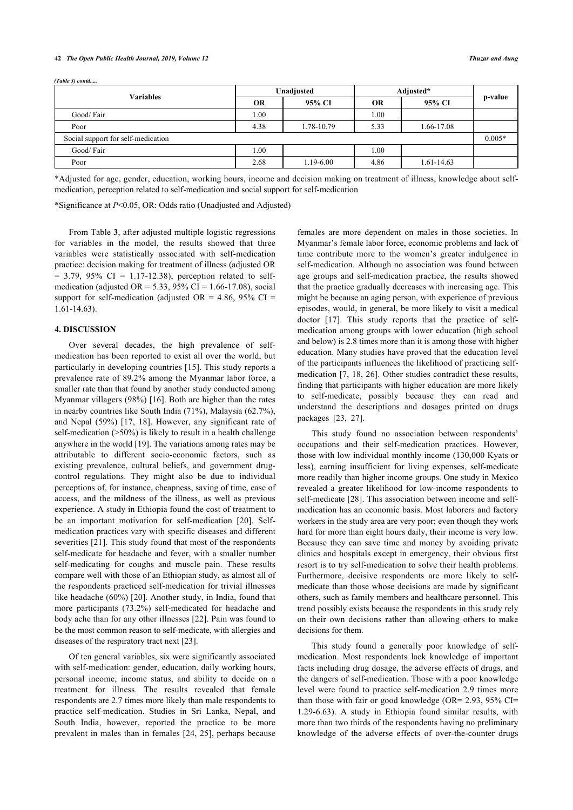#### **42** *The Open Public Health Journal, 2019, Volume 12 Thuzar and Aung*

| $(Table 3)$ contd                  |            |               |           |            |          |  |
|------------------------------------|------------|---------------|-----------|------------|----------|--|
| <b>Variables</b>                   | Unadjusted |               | Adjusted* |            |          |  |
|                                    | OR         | 95% CI        | <b>OR</b> | 95% CI     | p-value  |  |
| Good/Fair                          | 00.1       |               | 1.00      |            |          |  |
| Poor                               | 4.38       | 1.78-10.79    | 5.33      | 1.66-17.08 |          |  |
| Social support for self-medication |            |               |           |            | $0.005*$ |  |
| Good/Fair                          | 0.1        |               | 1.00      |            |          |  |
| Poor                               | 2.68       | $1.19 - 6.00$ | 4.86      | 1.61-14.63 |          |  |

\*Adjusted for age, gender, education, working hours, income and decision making on treatment of illness, knowledge about selfmedication, perception related to self-medication and social support for self-medication

\*Significance at *P*<0.05, OR: Odds ratio (Unadjusted and Adjusted)

From Table **[3](#page--1-0)**, after adjusted multiple logistic regressions for variables in the model, the results showed that three variables were statistically associated with self-medication practice: decision making for treatment of illness (adjusted OR  $= 3.79, 95\% \text{ CI} = 1.17 - 12.38$ , perception related to selfmedication (adjusted OR = 5.33, 95% CI = 1.66-17.08), social support for self-medication (adjusted OR = 4.86, 95% CI = 1.61-14.63).

# **4. DISCUSSION**

Over several decades, the high prevalence of selfmedication has been reported to exist all over the world, but particularly in developing countries [[15](#page-6-6)]. This study reports a prevalence rate of 89.2% among the Myanmar labor force, a smaller rate than that found by another study conducted among Myanmar villagers (98%) [\[16\]](#page-6-7). Both are higher than the rates in nearby countries like South India (71%), Malaysia (62.7%), and Nepal (59%)[[17,](#page-6-8) [18](#page-6-9)]. However, any significant rate of self-medication (>50%) is likely to result in a health challenge anywhere in the world [[19](#page-6-10)]. The variations among rates may be attributable to different socio-economic factors, such as existing prevalence, cultural beliefs, and government drugcontrol regulations. They might also be due to individual perceptions of, for instance, cheapness, saving of time, ease of access, and the mildness of the illness, as well as previous experience. A study in Ethiopia found the cost of treatment to be an important motivation for self-medication[[20](#page-6-11)]. Selfmedication practices vary with specific diseases and different severities [\[21\]](#page-6-12). This study found that most of the respondents self-medicate for headache and fever, with a smaller number self-medicating for coughs and muscle pain. These results compare well with those of an Ethiopian study, as almost all of the respondents practiced self-medication for trivial illnesses like headache (60%) [[20](#page-6-11)]. Another study, in India, found that more participants (73.2%) self-medicated for headache and body ache than for any other illnesses [[22\]](#page-6-13). Pain was found to be the most common reason to self-medicate, with allergies and diseases of the respiratory tract next [[23\]](#page-6-0).

Of ten general variables, six were significantly associated with self-medication: gender, education, daily working hours, personal income, income status, and ability to decide on a treatment for illness. The results revealed that female respondents are 2.7 times more likely than male respondents to practice self-medication. Studies in Sri Lanka, Nepal, and South India, however, reported the practice to be more prevalent in males than in females [[24](#page-6-14), [25\]](#page-6-15), perhaps because

females are more dependent on males in those societies. In Myanmar's female labor force, economic problems and lack of time contribute more to the women's greater indulgence in self-medication. Although no association was found between age groups and self-medication practice, the results showed that the practice gradually decreases with increasing age. This might be because an aging person, with experience of previous episodes, would, in general, be more likely to visit a medical doctor[[17](#page-6-8)]. This study reports that the practice of selfmedication among groups with lower education (high school and below) is 2.8 times more than it is among those with higher education. Many studies have proved that the education level of the participants influences the likelihood of practicing selfmedication [[7,](#page-5-7) [18](#page-6-9), [26](#page-6-16)]. Other studies contradict these results, finding that participants with higher education are more likely to self-medicate, possibly because they can read and understand the descriptions and dosages printed on drugs packages [\[23](#page-6-0), [27\]](#page-6-17).

This study found no association between respondents' occupations and their self-medication practices. However, those with low individual monthly income (130,000 Kyats or less), earning insufficient for living expenses, self-medicate more readily than higher income groups. One study in Mexico revealed a greater likelihood for low-income respondents to self-medicate [\[28](#page-6-18)]. This association between income and selfmedication has an economic basis. Most laborers and factory workers in the study area are very poor; even though they work hard for more than eight hours daily, their income is very low. Because they can save time and money by avoiding private clinics and hospitals except in emergency, their obvious first resort is to try self-medication to solve their health problems. Furthermore, decisive respondents are more likely to selfmedicate than those whose decisions are made by significant others, such as family members and healthcare personnel. This trend possibly exists because the respondents in this study rely on their own decisions rather than allowing others to make decisions for them.

This study found a generally poor knowledge of selfmedication. Most respondents lack knowledge of important facts including drug dosage, the adverse effects of drugs, and the dangers of self-medication. Those with a poor knowledge level were found to practice self-medication 2.9 times more than those with fair or good knowledge (OR= 2.93, 95% CI= 1.29-6.63). A study in Ethiopia found similar results, with more than two thirds of the respondents having no preliminary knowledge of the adverse effects of over-the-counter drugs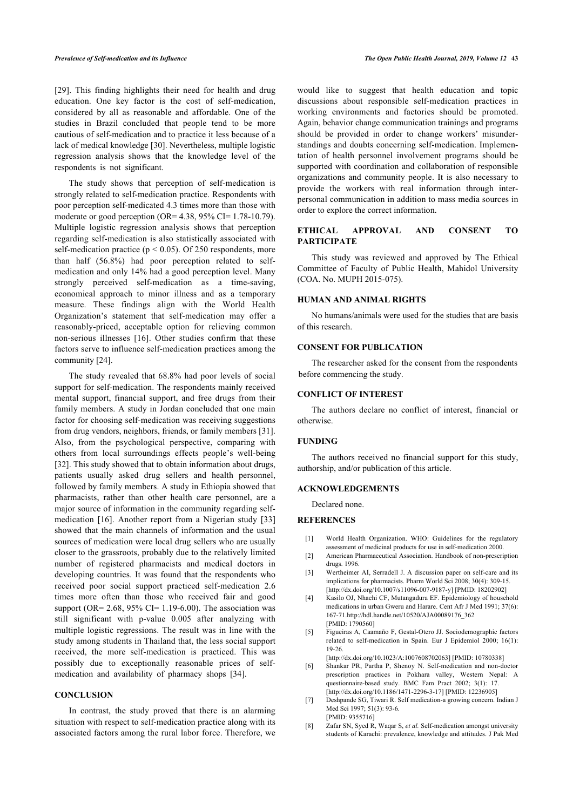[[29\]](#page-6-19). This finding highlights their need for health and drug education. One key factor is the cost of self-medication, considered by all as reasonable and affordable. One of the studies in Brazil concluded that people tend to be more cautious of self-medication and to practice it less because of a lack of medical knowledge [[30\]](#page-6-20). Nevertheless, multiple logistic regression analysis shows that the knowledge level of the respondents is not significant.

The study shows that perception of self-medication is strongly related to self-medication practice. Respondents with poor perception self-medicated 4.3 times more than those with moderate or good perception (OR= $4.38$ , 95% CI= $1.78-10.79$ ). Multiple logistic regression analysis shows that perception regarding self-medication is also statistically associated with self-medication practice ( $p < 0.05$ ). Of 250 respondents, more than half (56.8%) had poor perception related to selfmedication and only 14% had a good perception level. Many strongly perceived self-medication as a time-saving, economical approach to minor illness and as a temporary measure. These findings align with the World Health Organization's statement that self-medication may offer a reasonably-priced, acceptable option for relieving common non-serious illnesses [\[16\]](#page-6-7). Other studies confirm that these factors serve to influence self-medication practices among the community [[24\]](#page-6-14).

The study revealed that 68.8% had poor levels of social support for self-medication. The respondents mainly received mental support, financial support, and free drugs from their family members. A study in Jordan concluded that one main factor for choosing self-medication was receiving suggestions from drug vendors, neighbors, friends, or family members [[31](#page-6-21)]. Also, from the psychological perspective, comparing with others from local surroundings effects people's well-being [[32\]](#page-6-10). This study showed that to obtain information about drugs, patients usually asked drug sellers and health personnel, followed by family members. A study in Ethiopia showed that pharmacists, rather than other health care personnel, are a major source of information in the community regarding selfmedication [\[16\]](#page-6-7). Another report from a Nigerian study[[33](#page-6-22)] showed that the main channels of information and the usual sources of medication were local drug sellers who are usually closer to the grassroots, probably due to the relatively limited number of registered pharmacists and medical doctors in developing countries. It was found that the respondents who received poor social support practiced self-medication 2.6 times more often than those who received fair and good support (OR=  $2.68$ ,  $95\%$  CI=  $1.19-6.00$ ). The association was still significant with p-value 0.005 after analyzing with multiple logistic regressions. The result was in line with the study among students in Thailand that, the less social support received, the more self-medication is practiced. This was possibly due to exceptionally reasonable prices of selfmedication and availability of pharmacy shops [\[34](#page-6-23)].

# <span id="page-5-7"></span><span id="page-5-5"></span><span id="page-5-4"></span><span id="page-5-3"></span><span id="page-5-2"></span><span id="page-5-1"></span><span id="page-5-0"></span>**CONCLUSION**

<span id="page-5-6"></span>In contrast, the study proved that there is an alarming situation with respect to self-medication practice along with its associated factors among the rural labor force. Therefore, we

would like to suggest that health education and topic discussions about responsible self-medication practices in working environments and factories should be promoted. Again, behavior change communication trainings and programs should be provided in order to change workers' misunderstandings and doubts concerning self-medication. Implementation of health personnel involvement programs should be supported with coordination and collaboration of responsible organizations and community people. It is also necessary to provide the workers with real information through interpersonal communication in addition to mass media sources in order to explore the correct information.

# **ETHICAL APPROVAL AND CONSENT TO PARTICIPATE**

This study was reviewed and approved by The Ethical Committee of Faculty of Public Health, Mahidol University (COA. No. MUPH 2015-075).

#### **HUMAN AND ANIMAL RIGHTS**

No humans/animals were used for the studies that are basis of this research.

# **CONSENT FOR PUBLICATION**

The researcher asked for the consent from the respondents before commencing the study.

# **CONFLICT OF INTEREST**

The authors declare no conflict of interest, financial or otherwise.

# **FUNDING**

The authors received no financial support for this study, authorship, and/or publication of this article.

# **ACKNOWLEDGEMENTS**

Declared none.

### **REFERENCES**

- [1] World Health Organization. WHO: Guidelines for the regulatory assessment of medicinal products for use in self-medication 2000.
- [2] American Pharmaceutical Association. Handbook of non-prescription drugs. 1996.
- [3] Wertheimer AI, Serradell J. A discussion paper on self-care and its implications for pharmacists. Pharm World Sci 2008; 30(4): 309-15. [\[http://dx.doi.org/10.1007/s11096-007-9187-y\]](http://dx.doi.org/10.1007/s11096-007-9187-y) [PMID: [18202902](http://www.ncbi.nlm.nih.gov/pubmed/18202902)]
- [4] Kasilo OJ, Nhachi CF, Mutangadura EF. Epidemiology of household medications in urban Gweru and Harare. Cent Afr J Med 1991; 37(6): 167-71.[http://hdl.handle.net/10520/AJA00089176\\_362](http://hdl.handle.net/10520/AJA00089176_362) [PMID: [1790560](http://www.ncbi.nlm.nih.gov/pubmed/1790560)]
- [5] Figueiras A, Caamaño F, Gestal-Otero JJ. Sociodemographic factors related to self-medication in Spain. Eur J Epidemiol 2000; 16(1): 19-26.
- [\[http://dx.doi.org/10.1023/A:1007608702063\]](http://dx.doi.org/10.1023/A:1007608702063) [PMID: [10780338\]](http://www.ncbi.nlm.nih.gov/pubmed/10780338) [6] Shankar PR, Partha P, Shenoy N. Self-medication and non-doctor
- prescription practices in Pokhara valley, Western Nepal: A questionnaire-based study. BMC Fam Pract 2002; 3(1): 17. [\[http://dx.doi.org/10.1186/1471-2296-3-17\]](http://dx.doi.org/10.1186/1471-2296-3-17) [PMID: [12236905\]](http://www.ncbi.nlm.nih.gov/pubmed/12236905)
- [7] Deshpande SG, Tiwari R. Self medication-a growing concern. Indian J Med Sci 1997; 51(3): 93-6. [PMID: [9355716](http://www.ncbi.nlm.nih.gov/pubmed/9355716)]
- [8] Zafar SN, Syed R, Waqar S, *et al.* Self-medication amongst university students of Karachi: prevalence, knowledge and attitudes. J Pak Med